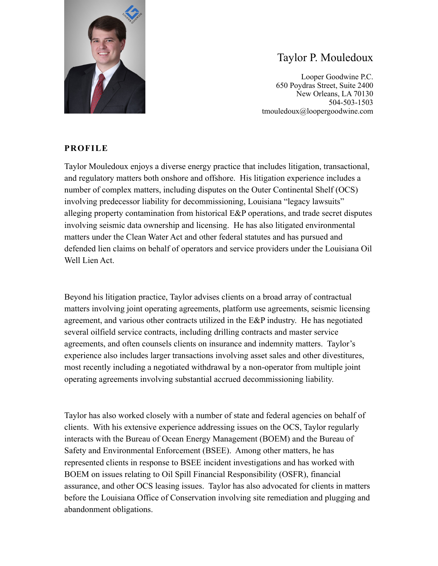

# Taylor P. Mouledoux

Looper Goodwine P.C. 650 Poydras Street, Suite 2400 New Orleans, LA 70130 504-503-1503 tmouledoux@loopergoodwine.com

### **PROFILE**

Taylor Mouledoux enjoys a diverse energy practice that includes litigation, transactional, and regulatory matters both onshore and offshore. His litigation experience includes a number of complex matters, including disputes on the Outer Continental Shelf (OCS) involving predecessor liability for decommissioning, Louisiana "legacy lawsuits" alleging property contamination from historical E&P operations, and trade secret disputes involving seismic data ownership and licensing. He has also litigated environmental matters under the Clean Water Act and other federal statutes and has pursued and defended lien claims on behalf of operators and service providers under the Louisiana Oil Well Lien Act.

Beyond his litigation practice, Taylor advises clients on a broad array of contractual matters involving joint operating agreements, platform use agreements, seismic licensing agreement, and various other contracts utilized in the E&P industry. He has negotiated several oilfield service contracts, including drilling contracts and master service agreements, and often counsels clients on insurance and indemnity matters. Taylor's experience also includes larger transactions involving asset sales and other divestitures, most recently including a negotiated withdrawal by a non-operator from multiple joint operating agreements involving substantial accrued decommissioning liability.

Taylor has also worked closely with a number of state and federal agencies on behalf of clients. With his extensive experience addressing issues on the OCS, Taylor regularly interacts with the Bureau of Ocean Energy Management (BOEM) and the Bureau of Safety and Environmental Enforcement (BSEE). Among other matters, he has represented clients in response to BSEE incident investigations and has worked with BOEM on issues relating to Oil Spill Financial Responsibility (OSFR), financial assurance, and other OCS leasing issues. Taylor has also advocated for clients in matters before the Louisiana Office of Conservation involving site remediation and plugging and abandonment obligations.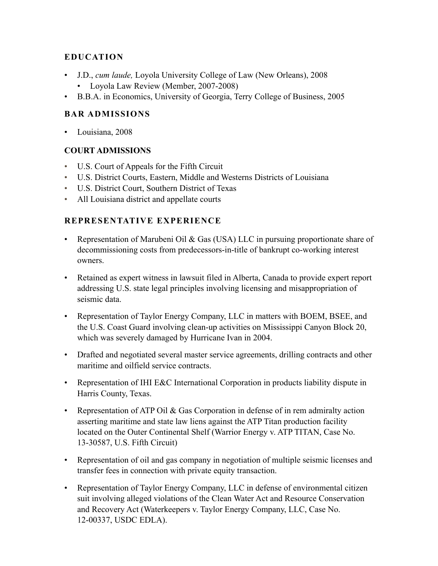## **EDUCATION**

- J.D., *cum laude,* Loyola University College of Law (New Orleans), 2008
	- Loyola Law Review (Member, 2007-2008)
- B.B.A. in Economics, University of Georgia, Terry College of Business, 2005

## **BAR ADMISSIONS**

• Louisiana, 2008

#### **COURT ADMISSIONS**

- U.S. Court of Appeals for the Fifth Circuit
- U.S. District Courts, Eastern, Middle and Westerns Districts of Louisiana
- U.S. District Court, Southern District of Texas
- All Louisiana district and appellate courts

### **REPRESENTATIVE EXPERIENCE**

- Representation of Marubeni Oil & Gas (USA) LLC in pursuing proportionate share of decommissioning costs from predecessors-in-title of bankrupt co-working interest owners.
- Retained as expert witness in lawsuit filed in Alberta, Canada to provide expert report addressing U.S. state legal principles involving licensing and misappropriation of seismic data.
- Representation of Taylor Energy Company, LLC in matters with BOEM, BSEE, and the U.S. Coast Guard involving clean-up activities on Mississippi Canyon Block 20, which was severely damaged by Hurricane Ivan in 2004.
- Drafted and negotiated several master service agreements, drilling contracts and other maritime and oilfield service contracts.
- Representation of IHI E&C International Corporation in products liability dispute in Harris County, Texas.
- Representation of ATP Oil  $\&$  Gas Corporation in defense of in rem admiralty action asserting maritime and state law liens against the ATP Titan production facility located on the Outer Continental Shelf (Warrior Energy v. ATP TITAN, Case No. 13-30587, U.S. Fifth Circuit)
- Representation of oil and gas company in negotiation of multiple seismic licenses and transfer fees in connection with private equity transaction.
- Representation of Taylor Energy Company, LLC in defense of environmental citizen suit involving alleged violations of the Clean Water Act and Resource Conservation and Recovery Act (Waterkeepers v. Taylor Energy Company, LLC, Case No. 12-00337, USDC EDLA).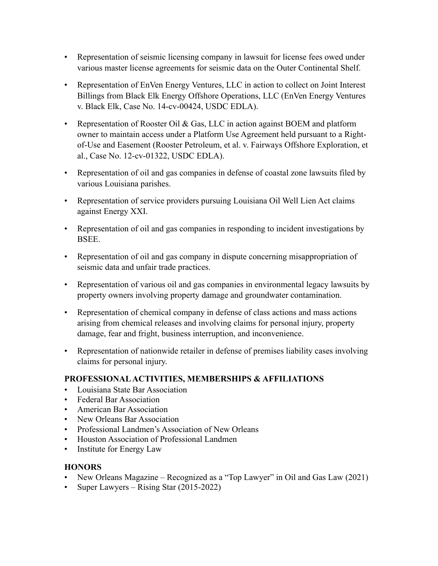- Representation of seismic licensing company in lawsuit for license fees owed under various master license agreements for seismic data on the Outer Continental Shelf.
- Representation of EnVen Energy Ventures, LLC in action to collect on Joint Interest Billings from Black Elk Energy Offshore Operations, LLC (EnVen Energy Ventures v. Black Elk, Case No. 14-cv-00424, USDC EDLA).
- Representation of Rooster Oil & Gas, LLC in action against BOEM and platform owner to maintain access under a Platform Use Agreement held pursuant to a Rightof-Use and Easement (Rooster Petroleum, et al. v. Fairways Offshore Exploration, et al., Case No. 12-cv-01322, USDC EDLA).
- Representation of oil and gas companies in defense of coastal zone lawsuits filed by various Louisiana parishes.
- Representation of service providers pursuing Louisiana Oil Well Lien Act claims against Energy XXI.
- Representation of oil and gas companies in responding to incident investigations by BSEE.
- Representation of oil and gas company in dispute concerning misappropriation of seismic data and unfair trade practices.
- Representation of various oil and gas companies in environmental legacy lawsuits by property owners involving property damage and groundwater contamination.
- Representation of chemical company in defense of class actions and mass actions arising from chemical releases and involving claims for personal injury, property damage, fear and fright, business interruption, and inconvenience.
- Representation of nationwide retailer in defense of premises liability cases involving claims for personal injury.

### **PROFESSIONAL ACTIVITIES, MEMBERSHIPS & AFFILIATIONS**

- Louisiana State Bar Association
- Federal Bar Association
- American Bar Association
- New Orleans Bar Association
- Professional Landmen's Association of New Orleans
- Houston Association of Professional Landmen
- Institute for Energy Law

### **HONORS**

- New Orleans Magazine Recognized as a "Top Lawyer" in Oil and Gas Law (2021)
- Super Lawyers Rising Star (2015-2022)